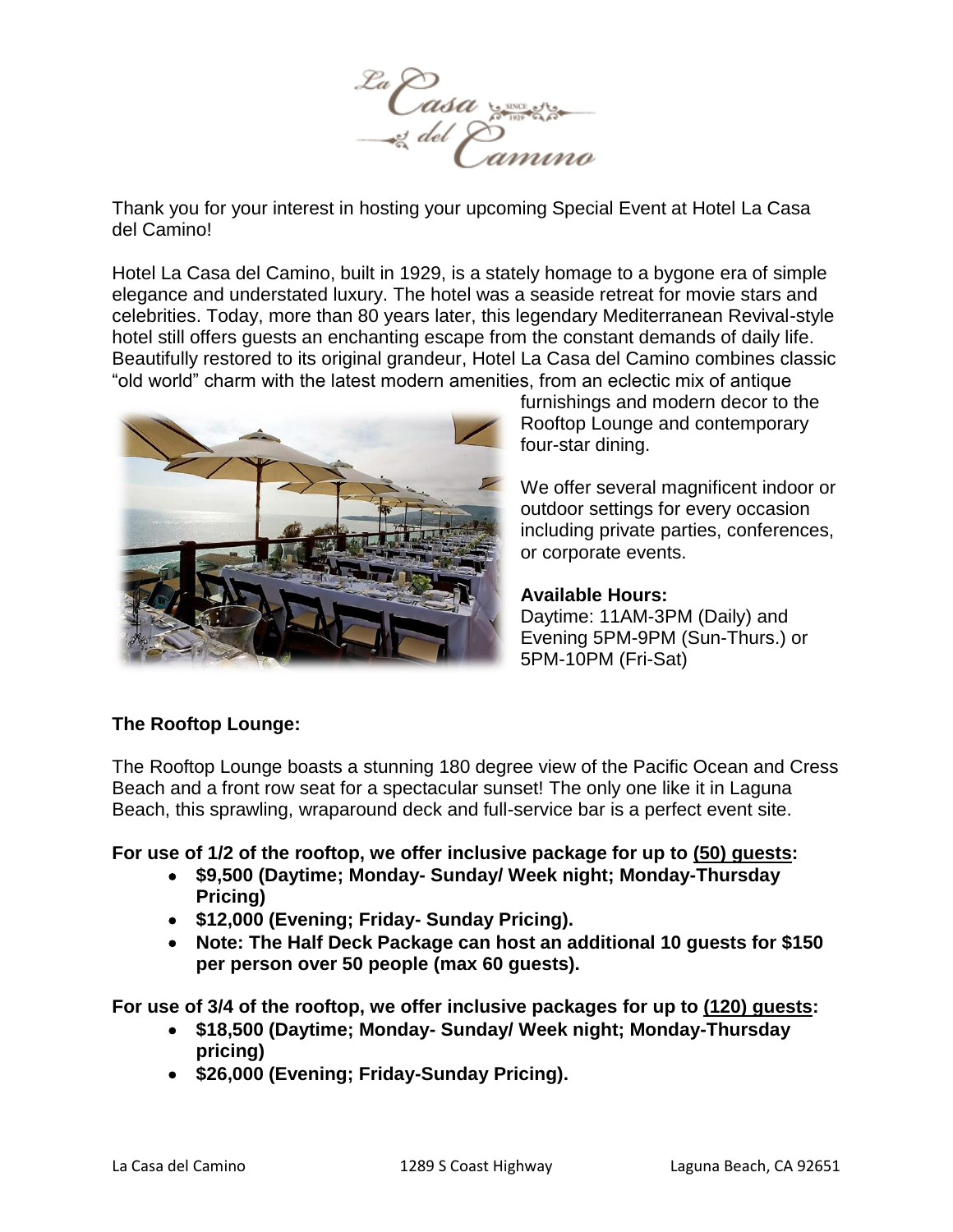

Thank you for your interest in hosting your upcoming Special Event at Hotel La Casa del Camino!

Hotel La Casa del Camino, built in 1929, is a stately homage to a bygone era of simple elegance and understated luxury. The hotel was a seaside retreat for movie stars and celebrities. Today, more than 80 years later, this legendary Mediterranean Revival-style hotel still offers guests an enchanting escape from the constant demands of daily life. Beautifully restored to its original grandeur, Hotel La Casa del Camino combines classic "old world" charm with the latest modern amenities, from an eclectic mix of antique



furnishings and modern decor to the Rooftop Lounge and contemporary four-star dining.

We offer several magnificent indoor or outdoor settings for every occasion including private parties, conferences, or corporate events.

# **Available Hours:**

Daytime: 11AM-3PM (Daily) and Evening 5PM-9PM (Sun-Thurs.) or 5PM-10PM (Fri-Sat)

# **The Rooftop Lounge:**

The Rooftop Lounge boasts a stunning 180 degree view of the Pacific Ocean and Cress Beach and a front row seat for a spectacular sunset! The only one like it in Laguna Beach, this sprawling, wraparound deck and full-service bar is a perfect event site.

**For use of 1/2 of the rooftop, we offer inclusive package for up to (50) guests:** 

- **\$9,500 (Daytime; Monday- Sunday/ Week night; Monday-Thursday Pricing)**
- **\$12,000 (Evening; Friday- Sunday Pricing).**
- **Note: The Half Deck Package can host an additional 10 guests for \$150 per person over 50 people (max 60 guests).**

**For use of 3/4 of the rooftop, we offer inclusive packages for up to (120) guests:**

- **\$18,500 (Daytime; Monday- Sunday/ Week night; Monday-Thursday pricing)**
- **\$26,000 (Evening; Friday-Sunday Pricing).**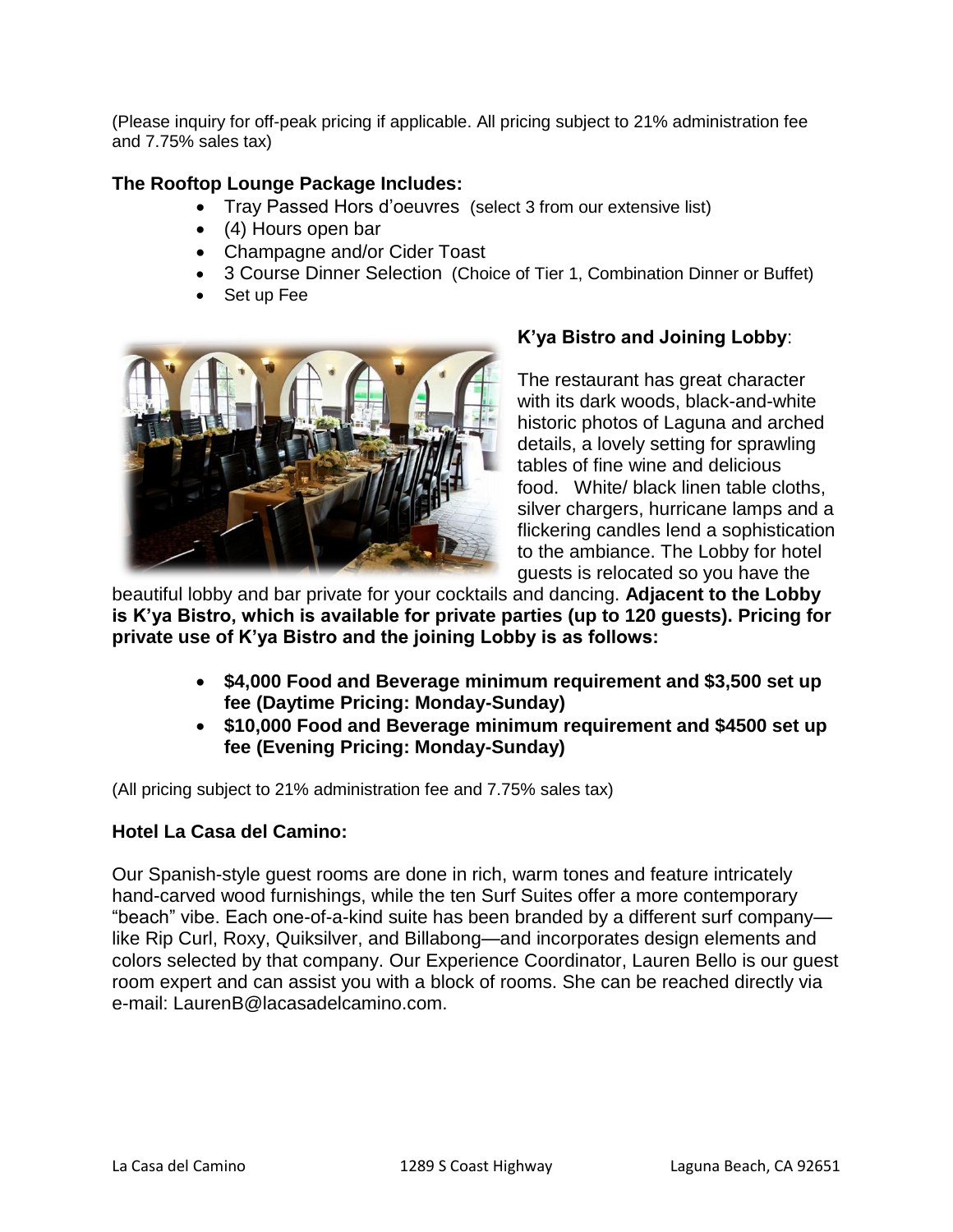(Please inquiry for off-peak pricing if applicable. All pricing subject to 21% administration fee and 7.75% sales tax)

# **The Rooftop Lounge Package Includes:**

- Tray Passed Hors d'oeuvres (select 3 from our extensive list)
- (4) Hours open bar
- Champagne and/or Cider Toast
- 3 Course Dinner Selection (Choice of Tier 1, Combination Dinner or Buffet)
- Set up Fee



# **K'ya Bistro and Joining Lobby**:

The restaurant has great character with its dark woods, black-and-white historic photos of Laguna and arched details, a lovely setting for sprawling tables of fine wine and delicious food. White/ black linen table cloths, silver chargers, hurricane lamps and a flickering candles lend a sophistication to the ambiance. The Lobby for hotel guests is relocated so you have the

beautiful lobby and bar private for your cocktails and dancing. **Adjacent to the Lobby is K'ya Bistro, which is available for private parties (up to 120 guests). Pricing for private use of K'ya Bistro and the joining Lobby is as follows:**

- **\$4,000 Food and Beverage minimum requirement and \$3,500 set up fee (Daytime Pricing: Monday-Sunday)**
- **\$10,000 Food and Beverage minimum requirement and \$4500 set up fee (Evening Pricing: Monday-Sunday)**

(All pricing subject to 21% administration fee and 7.75% sales tax)

# **Hotel La Casa del Camino:**

Our Spanish-style guest rooms are done in rich, warm tones and feature intricately hand-carved wood furnishings, while the ten Surf Suites offer a more contemporary "beach" vibe. Each one-of-a-kind suite has been branded by a different surf company like Rip Curl, Roxy, Quiksilver, and Billabong—and incorporates design elements and colors selected by that company. Our Experience Coordinator, Lauren Bello is our guest room expert and can assist you with a block of rooms. She can be reached directly via e-mail: LaurenB@lacasadelcamino.com.